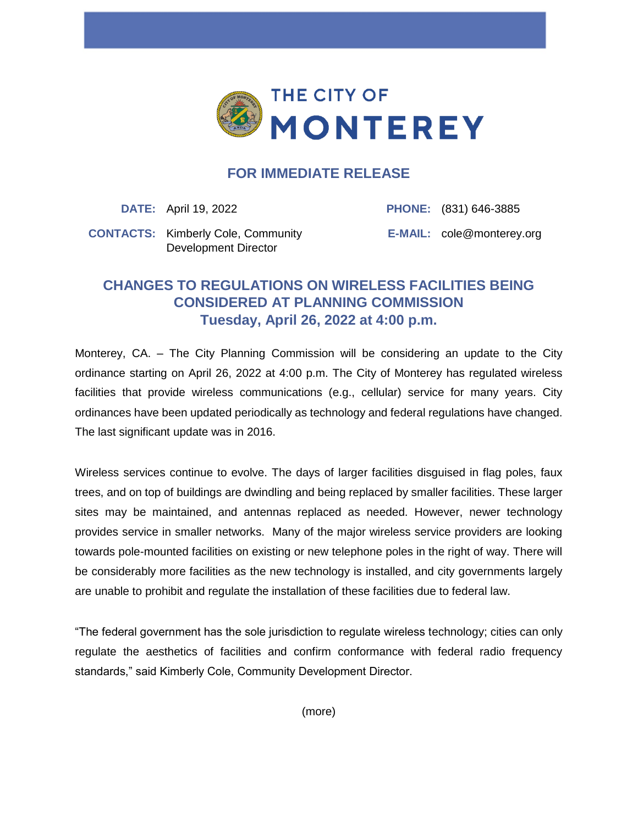

## **FOR IMMEDIATE RELEASE**

**DATE:** April 19, 2022 **PHONE:** (831) 646-3885

**CONTACTS:** Kimberly Cole, Community Development Director

**E-MAIL:** cole@monterey.org

## **CHANGES TO REGULATIONS ON WIRELESS FACILITIES BEING CONSIDERED AT PLANNING COMMISSION Tuesday, April 26, 2022 at 4:00 p.m.**

Monterey, CA. – The City Planning Commission will be considering an update to the City ordinance starting on April 26, 2022 at 4:00 p.m. The City of Monterey has regulated wireless facilities that provide wireless communications (e.g., cellular) service for many years. City ordinances have been updated periodically as technology and federal regulations have changed. The last significant update was in 2016.

Wireless services continue to evolve. The days of larger facilities disguised in flag poles, faux trees, and on top of buildings are dwindling and being replaced by smaller facilities. These larger sites may be maintained, and antennas replaced as needed. However, newer technology provides service in smaller networks. Many of the major wireless service providers are looking towards pole-mounted facilities on existing or new telephone poles in the right of way. There will be considerably more facilities as the new technology is installed, and city governments largely are unable to prohibit and regulate the installation of these facilities due to federal law.

"The federal government has the sole jurisdiction to regulate wireless technology; cities can only regulate the aesthetics of facilities and confirm conformance with federal radio frequency standards," said Kimberly Cole, Community Development Director.

(more)